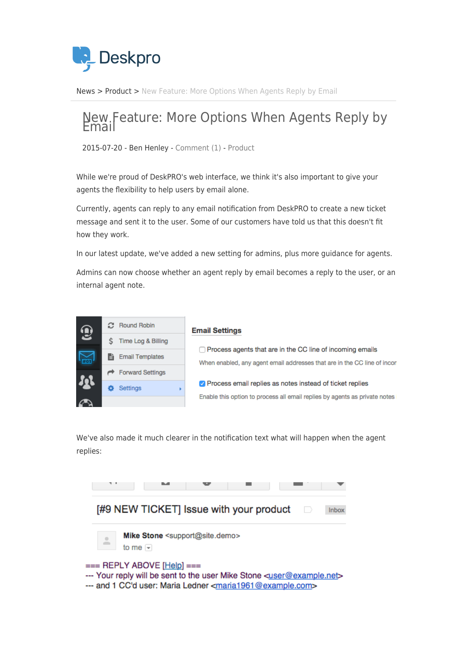

[News](https://support.deskpro.com/ro/news) > [Product](https://support.deskpro.com/ro/news/product) > [New Feature: More Options When Agents Reply by Email](https://support.deskpro.com/ro/news/posts/new-feature-more-options-when-agents-reply-by-email)

## New Feature: More Options When Agents Reply by

2015-07-20 - Ben Henley - [Comment \(1\)](#page--1-0) - [Product](https://support.deskpro.com/ro/news/product)

While we're proud of DeskPRO's web interface, we think it's also important to give your agents the flexibility to help users by email alone.

Currently, agents can reply to any email notification from DeskPRO to create a new ticket message and sent it to the user. Some of our customers have told us that this doesn't fit how they work.

In our latest update, we've added a new setting for admins, plus more guidance for agents.

Admins can now choose whether an agent reply by email becomes a reply to the user, or an internal agent note.



We've also made it much clearer in the notification text what will happen when the agent replies: